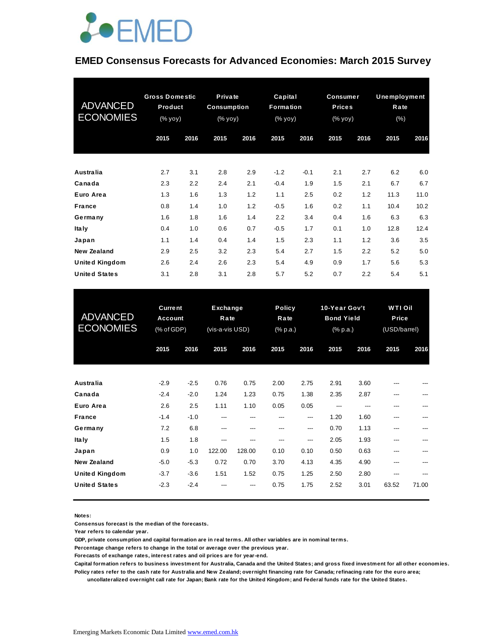

#### **EMED Consensus Forecasts for Advanced Economies: March 2015 Survey**

| <b>ADVANCED</b><br><b>ECONOMIES</b> | <b>Gross Domestic</b><br>Product<br>(% yoy) |      |      | Private<br>Capital<br><b>Consumption</b><br>Formation<br>(% yoy)<br>(% yoy) |        |        | <b>Consumer</b><br><b>Prices</b><br>(% yoy) |      | <b>Unemployment</b><br>Rate<br>(% ) |      |
|-------------------------------------|---------------------------------------------|------|------|-----------------------------------------------------------------------------|--------|--------|---------------------------------------------|------|-------------------------------------|------|
|                                     | 2015                                        | 2016 | 2015 | 2016                                                                        | 2015   | 2016   | 2015                                        | 2016 | 2015                                | 2016 |
| <b>Australia</b>                    | 2.7                                         | 3.1  | 2.8  | 2.9                                                                         | $-1.2$ | $-0.1$ | 2.1                                         | 2.7  | 6.2                                 | 6.0  |
| Canada                              | 2.3                                         | 2.2  | 2.4  | 2.1                                                                         | $-0.4$ | 1.9    | 1.5                                         | 2.1  | 6.7                                 | 6.7  |
| Euro Area                           | 1.3                                         | 1.6  | 1.3  | 1.2                                                                         | 1.1    | 2.5    | 0.2                                         | 1.2  | 11.3                                | 11.0 |
| <b>France</b>                       | 0.8                                         | 1.4  | 1.0  | 1.2                                                                         | $-0.5$ | 1.6    | 0.2                                         | 1.1  | 10.4                                | 10.2 |
| Germany                             | 1.6                                         | 1.8  | 1.6  | 1.4                                                                         | 2.2    | 3.4    | 0.4                                         | 1.6  | 6.3                                 | 6.3  |
| Ita Iy                              | 0.4                                         | 1.0  | 0.6  | 0.7                                                                         | $-0.5$ | 1.7    | 0.1                                         | 1.0  | 12.8                                | 12.4 |
| Japan                               | 1.1                                         | 1.4  | 0.4  | 1.4                                                                         | 1.5    | 2.3    | 1.1                                         | 1.2  | 3.6                                 | 3.5  |
| New Zealand                         | 2.9                                         | 2.5  | 3.2  | 2.3                                                                         | 5.4    | 2.7    | 1.5                                         | 2.2  | 5.2                                 | 5.0  |
| <b>United Kingdom</b>               | 2.6                                         | 2.4  | 2.6  | 2.3                                                                         | 5.4    | 4.9    | 0.9                                         | 1.7  | 5.6                                 | 5.3  |
| <b>United States</b>                | 3.1                                         | 2.8  | 3.1  | 2.8                                                                         | 5.7    | 5.2    | 0.7                                         | 2.2  | 5.4                                 | 5.1  |

| <b>United States</b>                | 3.1                                     | 2.8    | 3.1                                 | 2.8    | 5.7                               | 5.2  | 0.7                                            | 2.2  | 5.4                                     | 5.1   |
|-------------------------------------|-----------------------------------------|--------|-------------------------------------|--------|-----------------------------------|------|------------------------------------------------|------|-----------------------------------------|-------|
| <b>ADVANCED</b><br><b>ECONOMIES</b> | <b>Current</b><br>Account<br>(% of GDP) |        | Exchange<br>Rate<br>(vis-a-vis USD) |        | <b>Policy</b><br>Rate<br>(% p.a.) |      | 10-Year Gov't<br><b>Bond Yield</b><br>(% p.a.) |      | <b>WTI Oil</b><br>Price<br>(USD/barrel) |       |
|                                     | 2015                                    | 2016   | 2015                                | 2016   | 2015                              | 2016 | 2015                                           | 2016 | 2015                                    | 2016  |
| <b>Australia</b>                    | $-2.9$                                  | $-2.5$ | 0.76                                | 0.75   | 2.00                              | 2.75 | 2.91                                           | 3.60 |                                         |       |
| Canada                              | $-2.4$                                  | $-2.0$ | 1.24                                | 1.23   | 0.75                              | 1.38 | 2.35                                           | 2.87 | ---                                     |       |
| Euro Area                           | 2.6                                     | 2.5    | 1.11                                | 1.10   | 0.05                              | 0.05 | ---                                            | ---  | ---                                     | ---   |
| <b>France</b>                       | $-1.4$                                  | $-1.0$ | ---                                 | ---    | ---                               | ---  | 1.20                                           | 1.60 | ---                                     | ---   |
| Germany                             | 7.2                                     | 6.8    | ---                                 | ---    | ---                               | ---  | 0.70                                           | 1.13 | ---                                     | ---   |
| Ita Iy                              | 1.5                                     | 1.8    | ---                                 | ---    | ---                               | ---  | 2.05                                           | 1.93 | ---                                     | ---   |
| Japan                               | 0.9                                     | 1.0    | 122.00                              | 128.00 | 0.10                              | 0.10 | 0.50                                           | 0.63 | ---                                     | ---   |
| <b>New Zealand</b>                  | $-5.0$                                  | $-5.3$ | 0.72                                | 0.70   | 3.70                              | 4.13 | 4.35                                           | 4.90 | ---                                     |       |
| <b>United Kingdom</b>               | $-3.7$                                  | $-3.6$ | 1.51                                | 1.52   | 0.75                              | 1.25 | 2.50                                           | 2.80 | ---                                     |       |
| <b>United States</b>                | $-2.3$                                  | $-2.4$ |                                     | ---    | 0.75                              | 1.75 | 2.52                                           | 3.01 | 63.52                                   | 71.00 |

**Notes:** 

**Consensus forecast is the median of the forecasts.**

**Year refers to calendar year.**

**GDP, private consumption and capital formation are in real terms. All other variables are in nominal terms.**

**Percentage change refers to change in the total or average over the previous year.**

**Forecasts of exchange rates, interest rates and oil prices are for year-end.**

**Capital formation refers to business investment for Australia, Canada and the United States; and gross fixed investment for all other economies. Policy rates refer to the cash rate for Australia and New Zealand; overnight financing rate for Canada; refinacing rate for the euro area;** 

 **uncollateralized overnight call rate for Japan; Bank rate for the United Kingdom; and Federal funds rate for the United States.**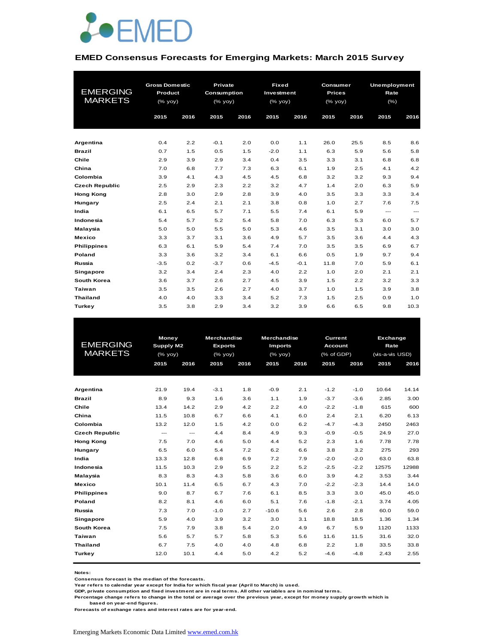

#### **EMED Consensus Forecasts for Emerging Markets: March 2015 Survey**

|                       | <b>Gross Domestic</b> |      | Private     |      | <b>Fixed</b> |        | Consumer                                                           |      | <b>Unemployment</b>      |                          |
|-----------------------|-----------------------|------|-------------|------|--------------|--------|--------------------------------------------------------------------|------|--------------------------|--------------------------|
| <b>EMERGING</b>       | Product               |      | Consumption |      | Investment   |        | <b>Prices</b>                                                      |      | Rate                     |                          |
| <b>MARKETS</b>        | (% yoy)               |      | (% yoy)     |      | (% yoy)      |        | $(% \mathsf{Y}^{\prime }\mathsf{Y}^{\prime }\mathsf{Y}^{\prime })$ |      | (%)                      |                          |
|                       | 2015                  | 2016 | 2015        | 2016 | 2015         | 2016   | 2015                                                               | 2016 | 2015                     | 2016                     |
|                       |                       |      |             |      |              |        |                                                                    |      |                          |                          |
|                       |                       |      |             |      |              |        |                                                                    |      |                          |                          |
| Argentina             | 0.4                   | 2.2  | $-0.1$      | 2.0  | 0.0          | 1.1    | 26.0                                                               | 25.5 | 8.5                      | 8.6                      |
| <b>Brazil</b>         | 0.7                   | 1.5  | 0.5         | 1.5  | $-2.0$       | 1.1    | 6.3                                                                | 5.9  | 5.6                      | 5.8                      |
| Chile                 | 2.9                   | 3.9  | 2.9         | 3.4  | 0.4          | 3.5    | 3.3                                                                | 3.1  | 6.8                      | 6.8                      |
| China                 | 7.0                   | 6.8  | 7.7         | 7.3  | 6.3          | 6.1    | 1.9                                                                | 2.5  | 4.1                      | 4.2                      |
| Colombia              | 3.9                   | 4.1  | 4.3         | 4.5  | 4.5          | 6.8    | 3.2                                                                | 3.2  | 9.3                      | 9.4                      |
| <b>Czech Republic</b> | 2.5                   | 2.9  | 2.3         | 2.2  | 3.2          | 4.7    | 1.4                                                                | 2.0  | 6.3                      | 5.9                      |
| <b>Hong Kong</b>      | 2.8                   | 3.0  | 2.9         | 2.8  | 3.9          | 4.0    | 3.5                                                                | 3.3  | 3.3                      | 3.4                      |
| Hungary               | 2.5                   | 2.4  | 2.1         | 2.1  | 3.8          | 0.8    | 1.0                                                                | 2.7  | 7.6                      | 7.5                      |
| India                 | 6.1                   | 6.5  | 5.7         | 7.1  | 5.5          | 7.4    | 6.1                                                                | 5.9  | $\hspace{0.05cm} \ldots$ | $\hspace{0.05cm} \ldots$ |
| Indonesia             | 5.4                   | 5.7  | 5.2         | 5.4  | 5.8          | 7.0    | 6.3                                                                | 5.3  | 6.0                      | 5.7                      |
| Malaysia              | 5.0                   | 5.0  | 5.5         | 5.0  | 5.3          | 4.6    | 3.5                                                                | 3.1  | 3.0                      | 3.0                      |
| <b>Mexico</b>         | 3.3                   | 3.7  | 3.1         | 3.6  | 4.9          | 5.7    | 3.5                                                                | 3.6  | 4.4                      | 4.3                      |
| <b>Philippines</b>    | 6.3                   | 6.1  | 5.9         | 5.4  | 7.4          | 7.0    | 3.5                                                                | 3.5  | 6.9                      | 6.7                      |
| Poland                | 3.3                   | 3.6  | 3.2         | 3.4  | 6.1          | 6.6    | 0.5                                                                | 1.9  | 9.7                      | 9.4                      |
| Russia                | $-3.5$                | 0.2  | $-3.7$      | 0.6  | $-4.5$       | $-0.1$ | 11.8                                                               | 7.0  | 5.9                      | 6.1                      |
| Singapore             | 3.2                   | 3.4  | 2.4         | 2.3  | 4.0          | 2.2    | 1.0                                                                | 2.0  | 2.1                      | 2.1                      |
| South Korea           | 3.6                   | 3.7  | 2.6         | 2.7  | 4.5          | 3.9    | 1.5                                                                | 2.2  | 3.2                      | 3.3                      |
| Taiwan                | 3.5                   | 3.5  | 2.6         | 2.7  | 4.0          | 3.7    | 1.0                                                                | 1.5  | 3.9                      | 3.8                      |
| <b>Thailand</b>       | 4.0                   | 4.0  | 3.3         | 3.4  | 5.2          | 7.3    | 1.5                                                                | 2.5  | 0.9                      | 1.0                      |
| Turkey                | 3.5                   | 3.8  | 2.9         | 3.4  | 3.2          | 3.9    | 6.6                                                                | 6.5  | 9.8                      | 10.3                     |

|                       | Money        |      | <b>Merchandise</b> |      | <b>Merchandise</b> |      | Current        |        | Exchange        |       |
|-----------------------|--------------|------|--------------------|------|--------------------|------|----------------|--------|-----------------|-------|
| <b>EMERGING</b>       | Supply M2    |      | <b>Exports</b>     |      | <b>Imports</b>     |      | <b>Account</b> |        | Rate            |       |
| <b>MARKETS</b>        | $(%$ (% yoy) |      | $(%$ (% yoy)       |      | $(%$ (% yoy)       |      | (% of GDP)     |        | (vis-a-vis USD) |       |
|                       | 2015         | 2016 | 2015               | 2016 | 2015               | 2016 | 2015           | 2016   | 2015            | 2016  |
|                       |              |      |                    |      |                    |      |                |        |                 |       |
| Argentina             | 21.9         | 19.4 | $-3.1$             | 1.8  | $-0.9$             | 2.1  | $-1.2$         | $-1.0$ | 10.64           | 14.14 |
| <b>Brazil</b>         | 8.9          | 9.3  | 1.6                | 3.6  | 1.1                | 1.9  | $-3.7$         | $-3.6$ | 2.85            | 3.00  |
| Chile                 | 13.4         | 14.2 | 2.9                | 4.2  | 2.2                | 4.0  | $-2.2$         | $-1.8$ | 615             | 600   |
| China                 | 11.5         | 10.8 | 6.7                | 6.6  | 4.1                | 6.0  | 2.4            | 2.1    | 6.20            | 6.13  |
| Colombia              | 13.2         | 12.0 | 1.5                | 4.2  | 0.0                | 6.2  | $-4.7$         | $-4.3$ | 2450            | 2463  |
| <b>Czech Republic</b> | ---          | $-$  | 4.4                | 8.4  | 4.9                | 9.3  | $-0.9$         | $-0.5$ | 24.9            | 27.0  |
| <b>Hong Kong</b>      | 7.5          | 7.0  | 4.6                | 5.0  | 4.4                | 5.2  | 2.3            | 1.6    | 7.78            | 7.78  |
| Hungary               | 6.5          | 6.0  | 5.4                | 7.2  | 6.2                | 6.6  | 3.8            | 3.2    | 275             | 293   |
| India                 | 13.3         | 12.8 | 6.8                | 6.9  | 7.2                | 7.9  | $-2.0$         | $-2.0$ | 63.0            | 63.8  |
| Indonesia             | 11.5         | 10.3 | 2.9                | 5.5  | 2.2                | 5.2  | $-2.5$         | $-2.2$ | 12575           | 12988 |
| Malaysia              | 8.3          | 8.3  | 4.3                | 5.8  | 3.6                | 6.0  | 3.9            | 4.2    | 3.53            | 3.44  |
| <b>Mexico</b>         | 10.1         | 11.4 | 6.5                | 6.7  | 4.3                | 7.0  | $-2.2$         | $-2.3$ | 14.4            | 14.0  |
| <b>Philippines</b>    | 9.0          | 8.7  | 6.7                | 7.6  | 6.1                | 8.5  | 3.3            | 3.0    | 45.0            | 45.0  |
| Poland                | 8.2          | 8.1  | 4.6                | 6.0  | 5.1                | 7.6  | $-1.8$         | $-2.1$ | 3.74            | 4.05  |
| Russia                | 7.3          | 7.0  | $-1.0$             | 2.7  | $-10.6$            | 5.6  | 2.6            | 2.8    | 60.0            | 59.0  |
| <b>Singapore</b>      | 5.9          | 4.0  | 3.9                | 3.2  | 3.0                | 3.1  | 18.8           | 18.5   | 1.36            | 1.34  |
| South Korea           | 7.5          | 7.9  | 3.8                | 5.4  | 2.0                | 4.9  | 6.7            | 5.9    | 1120            | 1133  |
| Taiwan                | 5.6          | 5.7  | 5.7                | 5.8  | 5.3                | 5.6  | 11.6           | 11.5   | 31.6            | 32.0  |
| <b>Thailand</b>       | 6.7          | 7.5  | 4.0                | 4.0  | 4.8                | 6.8  | 2.2            | 1.8    | 33.5            | 33.8  |
| Turkey                | 12.0         | 10.1 | 4.4                | 5.0  | 4.2                | 5.2  | $-4.6$         | $-4.8$ | 2.43            | 2.55  |
|                       |              |      |                    |      |                    |      |                |        |                 |       |

**Notes:** 

**Consensus forecast is the median of the forecasts.**

**Year refers to calendar year except for India for which fiscal year (April to March) is used. GDP, private consumption and fixed investment are in real terms. All other variables are in nominal terms.**

**Percentage change refers to change in the total or average over the previous year, except for money supply growth which is** 

 **based on year-end figures.**

**Forecasts of exchange rates and interest rates are for year-end.**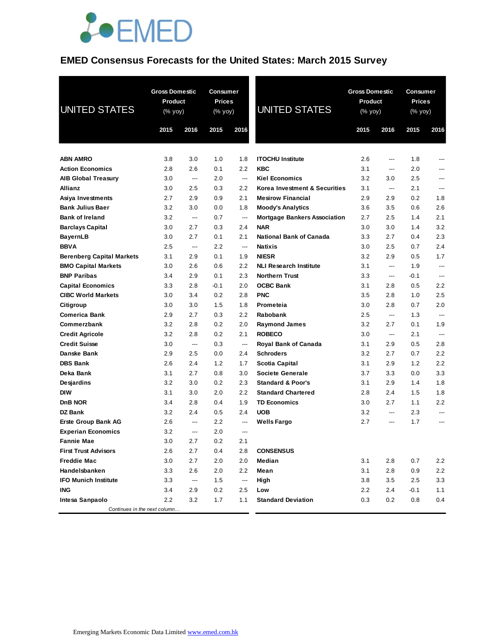

## **EMED Consensus Forecasts for the United States: March 2015 Survey**

| UNITED STATES                         | <b>Gross Domestic</b><br><b>Product</b><br>(% yoy)<br>2015 | 2016       | Consumer<br>Prices<br>(% yoy)<br>2015 | 2016                     | <b>UNITED STATES</b>                  | 2015       | <b>Gross Domestic</b><br>Product<br>(% yoy)<br>2016 |            | Consumer<br><b>Prices</b><br>(% yoy)<br>2015<br>2016 |  |
|---------------------------------------|------------------------------------------------------------|------------|---------------------------------------|--------------------------|---------------------------------------|------------|-----------------------------------------------------|------------|------------------------------------------------------|--|
|                                       |                                                            |            |                                       |                          |                                       |            |                                                     |            |                                                      |  |
| <b>ABN AMRO</b>                       | 3.8                                                        | 3.0<br>2.6 | 1.0<br>0.1                            | 1.8<br>2.2               | <b>ITOCHU Institute</b><br><b>KBC</b> | 2.6<br>3.1 | ---                                                 | 1.8<br>2.0 |                                                      |  |
| <b>Action Economics</b>               | 2.8<br>3.0                                                 |            | 2.0                                   | ---                      | <b>Kiel Economics</b>                 | 3.2        | ---<br>3.0                                          | 2.5        |                                                      |  |
| <b>AIB Global Treasury</b><br>Allianz | 3.0                                                        | ---<br>2.5 | 0.3                                   | 2.2                      | Korea Investment & Securities         | 3.1        | ---                                                 | 2.1        | ---                                                  |  |
| Asiya Investments                     | 2.7                                                        | 2.9        | 0.9                                   | 2.1                      | <b>Mesirow Financial</b>              | 2.9        | 2.9                                                 | 0.2        | 1.8                                                  |  |
| <b>Bank Julius Baer</b>               | 3.2                                                        | 3.0        | 0.0                                   | 1.8                      | <b>Moody's Analytics</b>              | 3.6        | 3.5                                                 | 0.6        | 2.6                                                  |  |
| <b>Bank of Ireland</b>                | 3.2                                                        | ---        | 0.7                                   | ---                      | <b>Mortgage Bankers Association</b>   | 2.7        | 2.5                                                 | 1.4        | 2.1                                                  |  |
| <b>Barclays Capital</b>               | 3.0                                                        | 2.7        | 0.3                                   | 2.4                      | <b>NAR</b>                            | 3.0        | 3.0                                                 | 1.4        | 3.2                                                  |  |
| <b>BayernLB</b>                       | 3.0                                                        | 2.7        | 0.1                                   | 2.1                      | <b>National Bank of Canada</b>        | 3.3        | 2.7                                                 | 0.4        | 2.3                                                  |  |
| <b>BBVA</b>                           | 2.5                                                        | ---        | 2.2                                   | ---                      | <b>Natixis</b>                        | 3.0        | 2.5                                                 | 0.7        | 2.4                                                  |  |
| <b>Berenberg Capital Markets</b>      | 3.1                                                        | 2.9        | 0.1                                   | 1.9                      | <b>NIESR</b>                          | 3.2        | 2.9                                                 | 0.5        | 1.7                                                  |  |
| <b>BMO Capital Markets</b>            | 3.0                                                        | 2.6        | 0.6                                   | 2.2                      | <b>NLI Research Institute</b>         | 3.1        | ---                                                 | 1.9        | $\overline{a}$                                       |  |
| <b>BNP Paribas</b>                    | 3.4                                                        | 2.9        | 0.1                                   | 2.3                      | <b>Northern Trust</b>                 | 3.3        | ---                                                 | -0.1       | ---                                                  |  |
| <b>Capital Economics</b>              | 3.3                                                        | 2.8        | $-0.1$                                | 2.0                      | <b>OCBC Bank</b>                      | 3.1        | 2.8                                                 | 0.5        | 2.2                                                  |  |
| <b>CIBC World Markets</b>             | 3.0                                                        | 3.4        | 0.2                                   | 2.8                      | <b>PNC</b>                            | 3.5        | 2.8                                                 | 1.0        | 2.5                                                  |  |
| Citigroup                             | 3.0                                                        | 3.0        | 1.5                                   | 1.8                      | Prometeia                             | 3.0        | 2.8                                                 | 0.7        | 2.0                                                  |  |
| <b>Comerica Bank</b>                  | 2.9                                                        | 2.7        | 0.3                                   | 2.2                      | Rabobank                              | 2.5        | $\overline{\phantom{a}}$                            | 1.3        | ---                                                  |  |
| Commerzbank                           | 3.2                                                        | 2.8        | 0.2                                   | 2.0                      | <b>Raymond James</b>                  | 3.2        | 2.7                                                 | 0.1        | 1.9                                                  |  |
| <b>Credit Agricole</b>                | 3.2                                                        | 2.8        | 0.2                                   | 2.1                      | <b>ROBECO</b>                         | 3.0        | $\overline{\phantom{a}}$                            | 2.1        | $\overline{\phantom{a}}$                             |  |
| <b>Credit Suisse</b>                  | 3.0                                                        | ---        | 0.3                                   | ---                      | <b>Royal Bank of Canada</b>           | 3.1        | 2.9                                                 | 0.5        | 2.8                                                  |  |
| Danske Bank                           | 2.9                                                        | 2.5        | 0.0                                   | 2.4                      | <b>Schroders</b>                      | 3.2        | 2.7                                                 | 0.7        | 2.2                                                  |  |
| <b>DBS Bank</b>                       | 2.6                                                        | 2.4        | 1.2                                   | 1.7                      | Scotia Capital                        | 3.1        | 2.9                                                 | 1.2        | 2.2                                                  |  |
| Deka Bank                             | 3.1                                                        | 2.7        | 0.8                                   | 3.0                      | <b>Societe Generale</b>               | 3.7        | 3.3                                                 | 0.0        | 3.3                                                  |  |
| Desjardins                            | 3.2                                                        | 3.0        | 0.2                                   | 2.3                      | <b>Standard &amp; Poor's</b>          | 3.1        | 2.9                                                 | 1.4        | 1.8                                                  |  |
| <b>DIW</b>                            | 3.1                                                        | 3.0        | 2.0                                   | 2.2                      | <b>Standard Chartered</b>             | 2.8        | 2.4                                                 | 1.5        | 1.8                                                  |  |
| DnB NOR                               | 3.4                                                        | 2.8        | 0.4                                   | 1.9                      | <b>TD Economics</b>                   | 3.0        | 2.7                                                 | 1.1        | 2.2                                                  |  |
| DZ Bank                               | 3.2                                                        | 2.4        | 0.5                                   | 2.4                      | <b>UOB</b>                            | 3.2        | ---                                                 | 2.3        | ---                                                  |  |
| <b>Erste Group Bank AG</b>            | 2.6                                                        | ---        | 2.2                                   | ---                      | <b>Wells Fargo</b>                    | 2.7        | ---                                                 | 1.7        | ---                                                  |  |
| <b>Experian Economics</b>             | 3.2                                                        | ---        | 2.0                                   | ---                      |                                       |            |                                                     |            |                                                      |  |
| <b>Fannie Mae</b>                     | 3.0                                                        | 2.7        | 0.2                                   | 2.1                      |                                       |            |                                                     |            |                                                      |  |
| <b>First Trust Advisors</b>           | 2.6                                                        | 2.7        | 0.4                                   | 2.8                      | <b>CONSENSUS</b>                      |            |                                                     |            |                                                      |  |
| <b>Freddie Mac</b>                    | 3.0                                                        | 2.7        | 2.0                                   | 2.0                      | Median                                | 3.1        | 2.8                                                 | 0.7        | 2.2                                                  |  |
| Handelsbanken                         | 3.3                                                        | 2.6        | 2.0                                   | 2.2                      | Mean                                  | 3.1        | 2.8                                                 | 0.9        | 2.2                                                  |  |
| <b>IFO Munich Institute</b>           | 3.3                                                        | ---        | 1.5                                   | $\hspace{0.05cm} \cdots$ | High                                  | 3.8        | 3.5                                                 | 2.5        | 3.3                                                  |  |
| <b>ING</b>                            | 3.4                                                        | 2.9        | 0.2                                   | 2.5                      | Low                                   | 2.2        | 2.4                                                 | -0.1       | 1.1                                                  |  |
| Intesa Sanpaolo                       | 2.2                                                        | 3.2        | 1.7                                   | 1.1                      | <b>Standard Deviation</b>             | 0.3        | 0.2                                                 | 0.8        | 0.4                                                  |  |
| Continues in the next column          |                                                            |            |                                       |                          |                                       |            |                                                     |            |                                                      |  |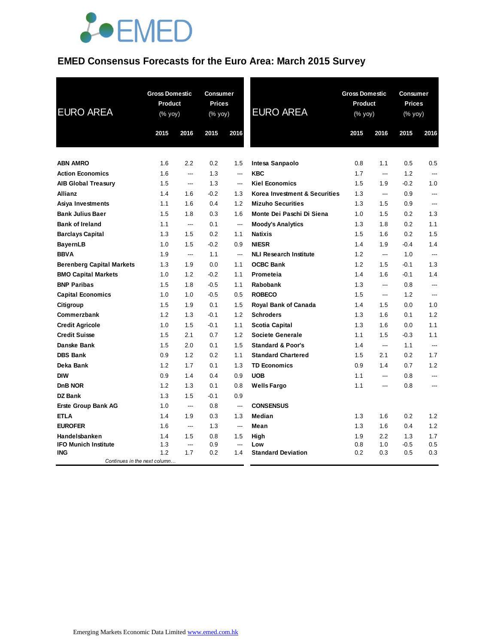

## **EMED Consensus Forecasts for the Euro Area: March 2015 Survey**

| <b>EURO AREA</b>                           | <b>Gross Domestic</b><br>Product<br>(% yoy) |                          | <b>Consumer</b><br><b>Prices</b><br>(% yoy) |                | <b>EURO AREA</b>              | <b>Gross Domestic</b><br>Product<br>(% yoy) |                | <b>Consumer</b><br><b>Prices</b><br>(% yoy) |                |
|--------------------------------------------|---------------------------------------------|--------------------------|---------------------------------------------|----------------|-------------------------------|---------------------------------------------|----------------|---------------------------------------------|----------------|
|                                            | 2015                                        | 2016                     | 2015                                        | 2016           |                               | 2015                                        | 2016           | 2015                                        | 2016           |
| <b>ABN AMRO</b>                            | 1.6                                         | 2.2                      | 0.2                                         | 1.5            | Intesa Sanpaolo               | 0.8                                         | 1.1            | 0.5                                         | 0.5            |
| <b>Action Economics</b>                    | 1.6                                         | $\overline{a}$           | 1.3                                         | ---            | <b>KBC</b>                    | 1.7                                         | ---            | 1.2                                         | ---            |
| <b>AIB Global Treasury</b>                 | 1.5                                         | $\overline{\phantom{a}}$ | 1.3                                         | ---            | <b>Kiel Economics</b>         | 1.5                                         | 1.9            | $-0.2$                                      | 1.0            |
| <b>Allianz</b>                             | 1.4                                         | 1.6                      | $-0.2$                                      | 1.3            | Korea Investment & Securities | 1.3                                         | $\overline{a}$ | 0.9                                         | ---            |
| Asiya Investments                          | 1.1                                         | 1.6                      | 0.4                                         | 1.2            | <b>Mizuho Securities</b>      | 1.3                                         | 1.5            | 0.9                                         |                |
| <b>Bank Julius Baer</b>                    | 1.5                                         | 1.8                      | 0.3                                         | 1.6            | Monte Dei Paschi Di Siena     | 1.0                                         | 1.5            | 0.2                                         | 1.3            |
| <b>Bank of Ireland</b>                     | 1.1                                         | ---                      | 0.1                                         | ---            | <b>Moody's Analytics</b>      | 1.3                                         | 1.8            | 0.2                                         | 1.1            |
| <b>Barclays Capital</b>                    | 1.3                                         | 1.5                      | 0.2                                         | 1.1            | <b>Natixis</b>                | 1.5                                         | 1.6            | 0.2                                         | 1.5            |
| <b>BayernLB</b>                            | 1.0                                         | 1.5                      | $-0.2$                                      | 0.9            | <b>NIESR</b>                  | 1.4                                         | 1.9            | $-0.4$                                      | 1.4            |
| <b>BBVA</b>                                | 1.9                                         | $\hspace{0.05cm} \ldots$ | 1.1                                         | ---            | <b>NLI Research Institute</b> | 1.2                                         | $\overline{a}$ | 1.0                                         | ---            |
| <b>Berenberg Capital Markets</b>           | 1.3                                         | 1.9                      | 0.0                                         | 1.1            | <b>OCBC Bank</b>              | 1.2                                         | 1.5            | $-0.1$                                      | 1.3            |
| <b>BMO Capital Markets</b>                 | 1.0                                         | 1.2                      | $-0.2$                                      | 1.1            | Prometeia                     | 1.4                                         | 1.6            | $-0.1$                                      | 1.4            |
| <b>BNP Paribas</b>                         | 1.5                                         | 1.8                      | $-0.5$                                      | 1.1            | Rabobank                      | 1.3                                         | ---            | 0.8                                         | ---            |
| <b>Capital Economics</b>                   | 1.0                                         | 1.0                      | $-0.5$                                      | 0.5            | <b>ROBECO</b>                 | 1.5                                         | ---            | 1.2                                         | ---            |
| Citigroup                                  | 1.5                                         | 1.9                      | 0.1                                         | 1.5            | Royal Bank of Canada          | 1.4                                         | 1.5            | 0.0                                         | 1.0            |
| Commerzbank                                | 1.2                                         | 1.3                      | $-0.1$                                      | 1.2            | <b>Schroders</b>              | 1.3                                         | 1.6            | 0.1                                         | 1.2            |
| <b>Credit Agricole</b>                     | 1.0                                         | 1.5                      | $-0.1$                                      | 1.1            | <b>Scotia Capital</b>         | 1.3                                         | 1.6            | 0.0                                         | 1.1            |
| <b>Credit Suisse</b>                       | 1.5                                         | 2.1                      | 0.7                                         | 1.2            | Societe Generale              | 1.1                                         | 1.5            | $-0.3$                                      | 1.1            |
| Danske Bank                                | 1.5                                         | 2.0                      | 0.1                                         | 1.5            | <b>Standard &amp; Poor's</b>  | 1.4                                         | ---            | 1.1                                         | $\overline{a}$ |
| <b>DBS Bank</b>                            | 0.9                                         | 1.2                      | 0.2                                         | 1.1            | <b>Standard Chartered</b>     | 1.5                                         | 2.1            | 0.2                                         | 1.7            |
| Deka Bank                                  | 1.2                                         | 1.7                      | 0.1                                         | 1.3            | <b>TD Economics</b>           | 0.9                                         | 1.4            | 0.7                                         | 1.2            |
| <b>DIW</b>                                 | 0.9                                         | 1.4                      | 0.4                                         | 0.9            | <b>UOB</b>                    | 1.1                                         | ---            | 0.8                                         | ---            |
| <b>DnB NOR</b>                             | 1.2                                         | 1.3                      | 0.1                                         | 0.8            | <b>Wells Fargo</b>            | 1.1                                         | ---            | 0.8                                         | ---            |
| DZ Bank                                    | 1.3                                         | 1.5                      | $-0.1$                                      | 0.9            |                               |                                             |                |                                             |                |
| <b>Erste Group Bank AG</b>                 | 1.0                                         | $\hspace{0.05cm} \ldots$ | 0.8                                         | $\overline{a}$ | <b>CONSENSUS</b>              |                                             |                |                                             |                |
| <b>ETLA</b>                                | 1.4                                         | 1.9                      | 0.3                                         | 1.3            | Median                        | 1.3                                         | 1.6            | 0.2                                         | 1.2            |
| <b>EUROFER</b>                             | 1.6                                         | $\hspace{0.05cm} \ldots$ | 1.3                                         | $\overline{a}$ | Mean                          | 1.3                                         | 1.6            | 0.4                                         | 1.2            |
| Handelsbanken                              | 1.4                                         | 1.5                      | 0.8                                         | 1.5            | High                          | 1.9                                         | 2.2            | 1.3                                         | 1.7            |
| <b>IFO Munich Institute</b>                | 1.3                                         | ---<br>1.7               | 0.9                                         | ---            | Low                           | 0.8                                         | 1.0            | $-0.5$                                      | 0.5            |
| <b>ING</b><br>Continues in the next column | 1.2                                         |                          | 0.2                                         | 1.4            | <b>Standard Deviation</b>     | 0.2                                         | 0.3            | 0.5                                         | 0.3            |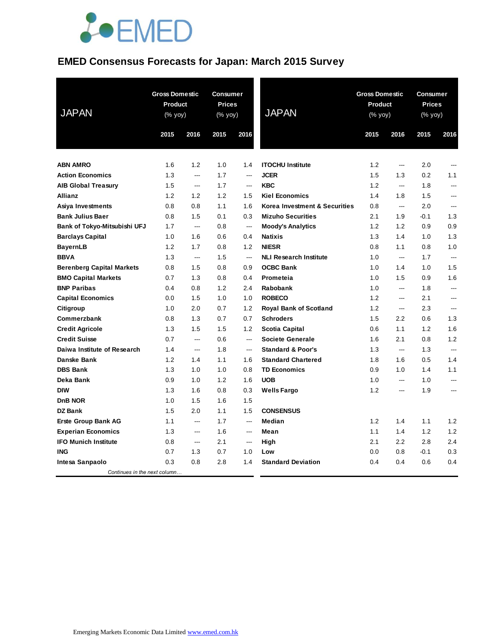# **JOEMED**

## **EMED Consensus Forecasts for Japan: March 2015 Survey**

| <b>JAPAN</b>                     | <b>Gross Domestic</b><br>Product<br>(% yoy) |                          | <b>Consumer</b><br><b>Prices</b><br>(% yoy) |                          | <b>JAPAN</b>                  | <b>Gross Domestic</b><br>Product<br>(% yoy) |                | <b>Consumer</b><br><b>Prices</b><br>(% yoy) |                |
|----------------------------------|---------------------------------------------|--------------------------|---------------------------------------------|--------------------------|-------------------------------|---------------------------------------------|----------------|---------------------------------------------|----------------|
|                                  | 2015                                        | 2016                     | 2015                                        | 2016                     |                               | 2015                                        | 2016           | 2015                                        | 2016           |
| <b>ABN AMRO</b>                  | 1.6                                         | 1.2                      | 1.0                                         | 1.4                      | <b>ITOCHU Institute</b>       | 1.2                                         | ---            | 2.0                                         | $---$          |
| <b>Action Economics</b>          | 1.3                                         | ---                      | 1.7                                         | ---                      | <b>JCER</b>                   | 1.5                                         | 1.3            | 0.2                                         | 1.1            |
| <b>AIB Global Treasury</b>       | 1.5                                         | ---                      | 1.7                                         | ---                      | <b>KBC</b>                    | 1.2                                         | ---            | 1.8                                         | ---            |
| Allianz                          | 1.2                                         | 1.2                      | 1.2                                         | 1.5                      | <b>Kiel Economics</b>         | 1.4                                         | 1.8            | 1.5                                         | ---            |
| Asiya Investments                | 0.8                                         | 0.8                      | 1.1                                         | 1.6                      | Korea Investment & Securities | 0.8                                         | $\overline{a}$ | 2.0                                         | ---            |
| <b>Bank Julius Baer</b>          | 0.8                                         | 1.5                      | 0.1                                         | 0.3                      | <b>Mizuho Securities</b>      | 2.1                                         | 1.9            | $-0.1$                                      | 1.3            |
| Bank of Tokyo-Mitsubishi UFJ     | 1.7                                         | $\hspace{0.05cm} \ldots$ | 0.8                                         | $\hspace{0.05cm} \ldots$ | <b>Moody's Analytics</b>      | 1.2                                         | 1.2            | 0.9                                         | 0.9            |
| <b>Barclays Capital</b>          | 1.0                                         | 1.6                      | 0.6                                         | 0.4                      | <b>Natixis</b>                | 1.3                                         | 1.4            | 1.0                                         | 1.3            |
| <b>BayernLB</b>                  | 1.2                                         | 1.7                      | 0.8                                         | 1.2                      | <b>NIESR</b>                  | 0.8                                         | 1.1            | 0.8                                         | 1.0            |
| <b>BBVA</b>                      | 1.3                                         | $\hspace{0.05cm} \ldots$ | 1.5                                         | ---                      | <b>NLI Research Institute</b> | 1.0                                         | ---            | 1.7                                         | ---            |
| <b>Berenberg Capital Markets</b> | 0.8                                         | 1.5                      | 0.8                                         | 0.9                      | <b>OCBC Bank</b>              | 1.0                                         | 1.4            | 1.0                                         | 1.5            |
| <b>BMO Capital Markets</b>       | 0.7                                         | 1.3                      | 0.8                                         | 0.4                      | Prometeia                     | 1.0                                         | 1.5            | 0.9                                         | 1.6            |
| <b>BNP Paribas</b>               | 0.4                                         | 0.8                      | 1.2                                         | 2.4                      | <b>Rabobank</b>               | 1.0                                         | ---            | 1.8                                         | ---            |
| <b>Capital Economics</b>         | 0.0                                         | 1.5                      | 1.0                                         | 1.0                      | <b>ROBECO</b>                 | 1.2                                         | ---            | 2.1                                         | ---            |
| Citigroup                        | 1.0                                         | 2.0                      | 0.7                                         | 1.2                      | <b>Royal Bank of Scotland</b> | 1.2                                         | $\overline{a}$ | 2.3                                         | ---            |
| Commerzbank                      | 0.8                                         | 1.3                      | 0.7                                         | 0.7                      | <b>Schroders</b>              | 1.5                                         | 2.2            | 0.6                                         | 1.3            |
| <b>Credit Agricole</b>           | 1.3                                         | 1.5                      | 1.5                                         | 1.2                      | Scotia Capital                | 0.6                                         | 1.1            | 1.2                                         | 1.6            |
| <b>Credit Suisse</b>             | 0.7                                         | $\overline{a}$           | 0.6                                         | ---                      | <b>Societe Generale</b>       | 1.6                                         | 2.1            | 0.8                                         | 1.2            |
| Daiwa Institute of Research      | 1.4                                         | $\overline{a}$           | 1.8                                         | $\overline{a}$           | <b>Standard &amp; Poor's</b>  | 1.3                                         | $\overline{a}$ | 1.3                                         |                |
| Danske Bank                      | 1.2                                         | 1.4                      | 1.1                                         | 1.6                      | <b>Standard Chartered</b>     | 1.8                                         | 1.6            | 0.5                                         | 1.4            |
| <b>DBS Bank</b>                  | 1.3                                         | 1.0                      | 1.0                                         | 0.8                      | <b>TD Economics</b>           | 0.9                                         | 1.0            | 1.4                                         | 1.1            |
| Deka Bank                        | 0.9                                         | 1.0                      | 1.2                                         | 1.6                      | <b>UOB</b>                    | 1.0                                         | ---            | 1.0                                         | ---            |
| <b>DIW</b>                       | 1.3                                         | 1.6                      | 0.8                                         | 0.3                      | <b>Wells Fargo</b>            | 1.2                                         | $---$          | 1.9                                         | $\overline{a}$ |
| DnB NOR                          | 1.0                                         | 1.5                      | 1.6                                         | 1.5                      |                               |                                             |                |                                             |                |
| <b>DZ Bank</b>                   | 1.5                                         | 2.0                      | 1.1                                         | 1.5                      | <b>CONSENSUS</b>              |                                             |                |                                             |                |
| <b>Erste Group Bank AG</b>       | 1.1                                         | ---                      | 1.7                                         | $\overline{\phantom{a}}$ | Median                        | 1.2                                         | 1.4            | 1.1                                         | 1.2            |
| <b>Experian Economics</b>        | 1.3                                         | $\overline{a}$           | 1.6                                         | ---                      | Mean                          | 1.1                                         | 1.4            | 1.2                                         | 1.2            |
| <b>IFO Munich Institute</b>      | 0.8                                         | $\hspace{0.05cm} \ldots$ | 2.1                                         | $\hspace{0.05cm} \ldots$ | High                          | 2.1                                         | 2.2            | 2.8                                         | 2.4            |
| <b>ING</b>                       | 0.7                                         | 1.3                      | 0.7                                         | 1.0                      | Low                           | 0.0                                         | 0.8            | $-0.1$                                      | 0.3            |
| Intesa Sanpaolo                  | 0.3                                         | 0.8                      | 2.8                                         | 1.4                      | <b>Standard Deviation</b>     | 0.4                                         | 0.4            | 0.6                                         | 0.4            |
| Continues in the next column     |                                             |                          |                                             |                          |                               |                                             |                |                                             |                |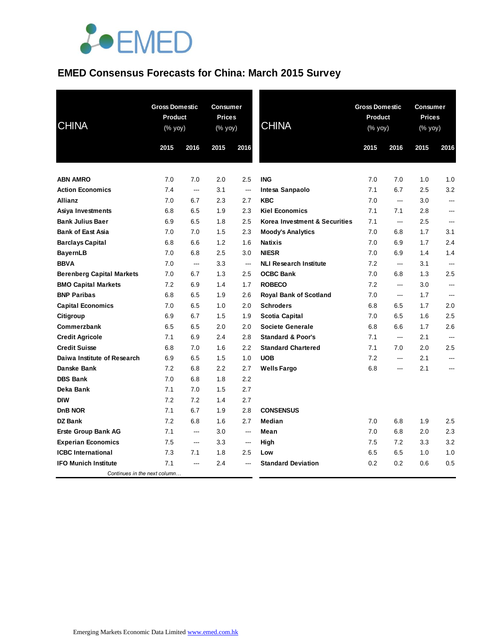

#### **EMED Consensus Forecasts for China: March 2015 Survey**

| <b>CHINA</b>                     | <b>Gross Domestic</b><br>Product<br>(% yoy)<br>2015<br>2016 |     | <b>Consumer</b><br><b>Prices</b><br>(% yoy)<br>2015<br>2016 |                          | <b>CHINA</b>                  | <b>Gross Domestic</b><br>Product<br>(% yoy)<br>2015<br>2016 |     | <b>Consumer</b><br><b>Prices</b><br>(% yoy)<br>2015<br>2016 |                |
|----------------------------------|-------------------------------------------------------------|-----|-------------------------------------------------------------|--------------------------|-------------------------------|-------------------------------------------------------------|-----|-------------------------------------------------------------|----------------|
|                                  |                                                             |     |                                                             |                          |                               |                                                             |     |                                                             |                |
|                                  |                                                             |     |                                                             |                          |                               |                                                             |     |                                                             |                |
| <b>ABN AMRO</b>                  | 7.0                                                         | 7.0 | 2.0                                                         | 2.5                      | <b>ING</b>                    | 7.0                                                         | 7.0 | 1.0                                                         | 1.0            |
| <b>Action Economics</b>          | 7.4                                                         | --- | 3.1                                                         | $\overline{\phantom{a}}$ | Intesa Sanpaolo               | 7.1                                                         | 6.7 | 2.5                                                         | 3.2            |
| <b>Allianz</b>                   | 7.0                                                         | 6.7 | 2.3                                                         | 2.7                      | <b>KBC</b>                    | 7.0                                                         | --- | 3.0                                                         | ---            |
| Asiya Investments                | 6.8                                                         | 6.5 | 1.9                                                         | 2.3                      | <b>Kiel Economics</b>         | 7.1                                                         | 7.1 | 2.8                                                         | ---            |
| <b>Bank Julius Baer</b>          | 6.9                                                         | 6.5 | 1.8                                                         | 2.5                      | Korea Investment & Securities | 7.1                                                         | --- | 2.5                                                         | $\overline{a}$ |
| <b>Bank of East Asia</b>         | 7.0                                                         | 7.0 | 1.5                                                         | 2.3                      | <b>Moody's Analytics</b>      | 7.0                                                         | 6.8 | 1.7                                                         | 3.1            |
| <b>Barclays Capital</b>          | 6.8                                                         | 6.6 | 1.2                                                         | 1.6                      | <b>Natixis</b>                | 7.0                                                         | 6.9 | 1.7                                                         | 2.4            |
| <b>BayernLB</b>                  | 7.0                                                         | 6.8 | 2.5                                                         | 3.0                      | <b>NIESR</b>                  | 7.0                                                         | 6.9 | 1.4                                                         | 1.4            |
| <b>BBVA</b>                      | 7.0                                                         | --- | 3.3                                                         | ---                      | <b>NLI Research Institute</b> | 7.2                                                         | --- | 3.1                                                         | ---            |
| <b>Berenberg Capital Markets</b> | 7.0                                                         | 6.7 | 1.3                                                         | 2.5                      | <b>OCBC Bank</b>              | 7.0                                                         | 6.8 | 1.3                                                         | 2.5            |
| <b>BMO Capital Markets</b>       | 7.2                                                         | 6.9 | 1.4                                                         | 1.7                      | <b>ROBECO</b>                 | 7.2                                                         | --- | 3.0                                                         | ---            |
| <b>BNP Paribas</b>               | 6.8                                                         | 6.5 | 1.9                                                         | 2.6                      | <b>Royal Bank of Scotland</b> | 7.0                                                         | --- | 1.7                                                         | ---            |
| <b>Capital Economics</b>         | 7.0                                                         | 6.5 | 1.0                                                         | 2.0                      | <b>Schroders</b>              | 6.8                                                         | 6.5 | 1.7                                                         | 2.0            |
| Citigroup                        | 6.9                                                         | 6.7 | 1.5                                                         | 1.9                      | Scotia Capital                | 7.0                                                         | 6.5 | 1.6                                                         | 2.5            |
| Commerzbank                      | 6.5                                                         | 6.5 | 2.0                                                         | 2.0                      | <b>Societe Generale</b>       | 6.8                                                         | 6.6 | 1.7                                                         | 2.6            |
| <b>Credit Agricole</b>           | 7.1                                                         | 6.9 | 2.4                                                         | 2.8                      | <b>Standard &amp; Poor's</b>  | 7.1                                                         | --- | 2.1                                                         | ---            |
| <b>Credit Suisse</b>             | 6.8                                                         | 7.0 | 1.6                                                         | 2.2                      | <b>Standard Chartered</b>     | 7.1                                                         | 7.0 | 2.0                                                         | 2.5            |
| Daiwa Institute of Research      | 6.9                                                         | 6.5 | 1.5                                                         | 1.0                      | <b>UOB</b>                    | 7.2                                                         | --- | 2.1                                                         | ---            |
| Danske Bank                      | 7.2                                                         | 6.8 | 2.2                                                         | 2.7                      | <b>Wells Fargo</b>            | 6.8                                                         | --- | 2.1                                                         | ---            |
| <b>DBS Bank</b>                  | 7.0                                                         | 6.8 | 1.8                                                         | 2.2                      |                               |                                                             |     |                                                             |                |
| Deka Bank                        | 7.1                                                         | 7.0 | 1.5                                                         | 2.7                      |                               |                                                             |     |                                                             |                |
| <b>DIW</b>                       | 7.2                                                         | 7.2 | 1.4                                                         | 2.7                      |                               |                                                             |     |                                                             |                |
| <b>DnB NOR</b>                   | 7.1                                                         | 6.7 | 1.9                                                         | 2.8                      | <b>CONSENSUS</b>              |                                                             |     |                                                             |                |
| <b>DZ Bank</b>                   | 7.2                                                         | 6.8 | 1.6                                                         | 2.7                      | <b>Median</b>                 | 7.0                                                         | 6.8 | 1.9                                                         | 2.5            |
| <b>Erste Group Bank AG</b>       | 7.1                                                         | --- | 3.0                                                         | $\overline{\phantom{a}}$ | Mean                          | 7.0                                                         | 6.8 | 2.0                                                         | 2.3            |
| <b>Experian Economics</b>        | 7.5                                                         | --- | 3.3                                                         | $\overline{\phantom{a}}$ | High                          | 7.5                                                         | 7.2 | 3.3                                                         | 3.2            |
| <b>ICBC</b> International        | 7.3                                                         | 7.1 | 1.8                                                         | 2.5                      | Low                           | 6.5                                                         | 6.5 | 1.0                                                         | 1.0            |
| <b>IFO Munich Institute</b>      | 7.1                                                         | --- | 2.4                                                         |                          | <b>Standard Deviation</b>     | 0.2                                                         | 0.2 | 0.6                                                         | 0.5            |
| Continues in the next column     |                                                             |     |                                                             |                          |                               |                                                             |     |                                                             |                |